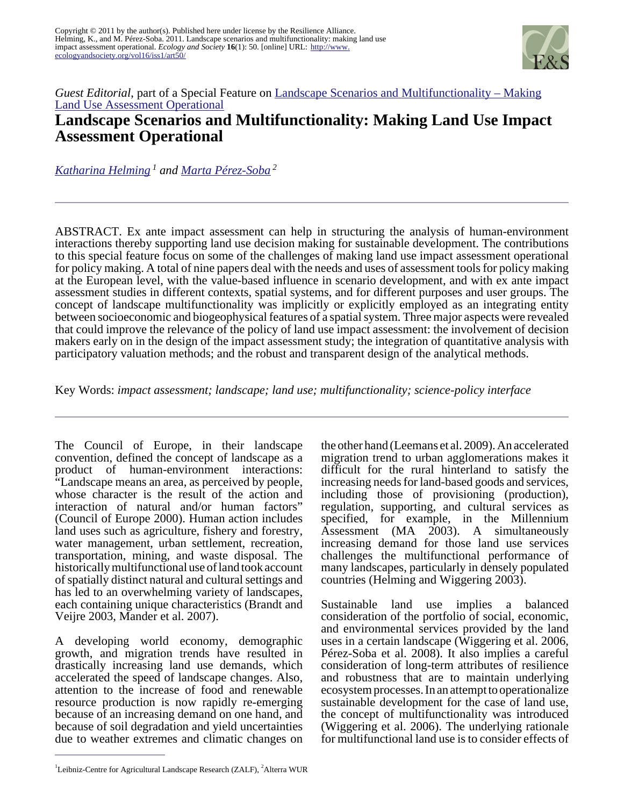

## *Guest Editorial*, part of a Special Feature on [Landscape Scenarios and Multifunctionality – Making](http://www.ecologyandsociety.org/viewissue.php?sf=45) [Land Use Assessment Operational](http://www.ecologyandsociety.org/viewissue.php?sf=45) **Landscape Scenarios and Multifunctionality: Making Land Use Impact Assessment Operational**

*[Katharina Helming](mailto:khelming@zalf.de)<sup>1</sup> and [Marta Pérez-Soba](mailto:marta.perezsoba@wur.nl)<sup>2</sup>*

ABSTRACT. Ex ante impact assessment can help in structuring the analysis of human-environment interactions thereby supporting land use decision making for sustainable development. The contributions to this special feature focus on some of the challenges of making land use impact assessment operational for policy making. A total of nine papers deal with the needs and uses of assessment tools for policy making at the European level, with the value-based influence in scenario development, and with ex ante impact assessment studies in different contexts, spatial systems, and for different purposes and user groups. The concept of landscape multifunctionality was implicitly or explicitly employed as an integrating entity between socioeconomic and biogeophysical features of a spatial system. Three major aspects were revealed that could improve the relevance of the policy of land use impact assessment: the involvement of decision makers early on in the design of the impact assessment study; the integration of quantitative analysis with participatory valuation methods; and the robust and transparent design of the analytical methods.

Key Words: *impact assessment; landscape; land use; multifunctionality; science-policy interface* 

The Council of Europe, in their landscape convention, defined the concept of landscape as a product of human-environment interactions: "Landscape means an area, as perceived by people, whose character is the result of the action and interaction of natural and/or human factors" (Council of Europe 2000). Human action includes land uses such as agriculture, fishery and forestry, water management, urban settlement, recreation, transportation, mining, and waste disposal. The historically multifunctional use of land took account of spatially distinct natural and cultural settings and has led to an overwhelming variety of landscapes, each containing unique characteristics (Brandt and Veijre 2003, Mander et al. 2007).

A developing world economy, demographic growth, and migration trends have resulted in drastically increasing land use demands, which accelerated the speed of landscape changes. Also, attention to the increase of food and renewable resource production is now rapidly re-emerging because of an increasing demand on one hand, and because of soil degradation and yield uncertainties due to weather extremes and climatic changes on

the other hand (Leemans et al. 2009). An accelerated migration trend to urban agglomerations makes it difficult for the rural hinterland to satisfy the increasing needs for land-based goods and services, including those of provisioning (production), regulation, supporting, and cultural services as specified, for example, in the Millennium Assessment (MA 2003). A simultaneously increasing demand for those land use services challenges the multifunctional performance of many landscapes, particularly in densely populated countries (Helming and Wiggering 2003).

Sustainable land use implies a balanced consideration of the portfolio of social, economic, and environmental services provided by the land uses in a certain landscape (Wiggering et al. 2006, Pérez-Soba et al. 2008). It also implies a careful consideration of long-term attributes of resilience and robustness that are to maintain underlying ecosystem processes. In an attempt to operationalize sustainable development for the case of land use, the concept of multifunctionality was introduced (Wiggering et al. 2006). The underlying rationale for multifunctional land use is to consider effects of

<sup>&</sup>lt;sup>1</sup>Leibniz-Centre for Agricultural Landscape Research (ZALF), <sup>2</sup>Alterra WUR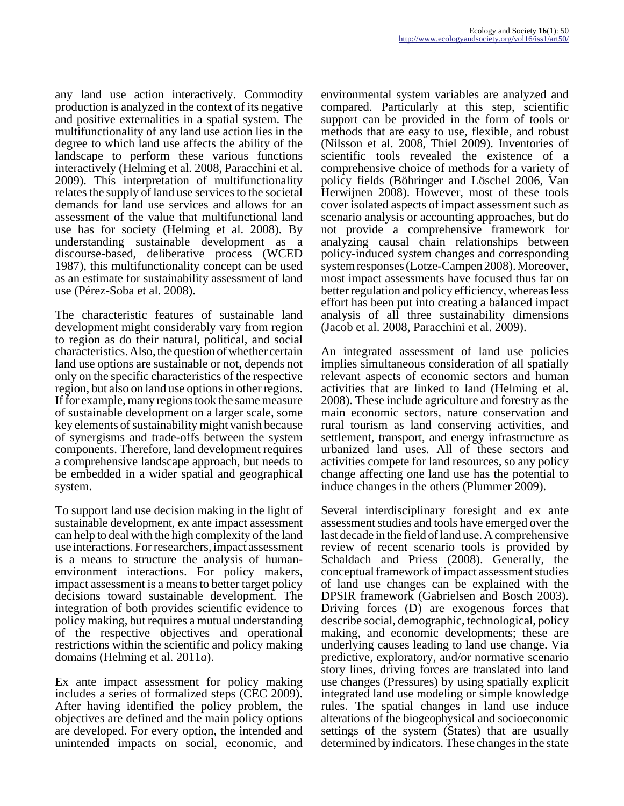any land use action interactively. Commodity production is analyzed in the context of its negative and positive externalities in a spatial system. The multifunctionality of any land use action lies in the degree to which land use affects the ability of the landscape to perform these various functions interactively (Helming et al. 2008, Paracchini et al. 2009). This interpretation of multifunctionality relates the supply of land use services to the societal demands for land use services and allows for an assessment of the value that multifunctional land use has for society (Helming et al. 2008). By understanding sustainable development as a discourse-based, deliberative process (WCED 1987), this multifunctionality concept can be used as an estimate for sustainability assessment of land use (Pérez-Soba et al. 2008).

The characteristic features of sustainable land development might considerably vary from region to region as do their natural, political, and social characteristics. Also, the question of whether certain land use options are sustainable or not, depends not only on the specific characteristics of the respective region, but also on land use options in other regions. If for example, many regions took the same measure of sustainable development on a larger scale, some key elements of sustainability might vanish because of synergisms and trade-offs between the system components. Therefore, land development requires a comprehensive landscape approach, but needs to be embedded in a wider spatial and geographical system.

To support land use decision making in the light of sustainable development, ex ante impact assessment can help to deal with the high complexity of the land use interactions. For researchers, impact assessment is a means to structure the analysis of humanenvironment interactions. For policy makers, impact assessment is a means to better target policy decisions toward sustainable development. The integration of both provides scientific evidence to policy making, but requires a mutual understanding of the respective objectives and operational restrictions within the scientific and policy making domains (Helming et al. 2011*a*).

Ex ante impact assessment for policy making includes a series of formalized steps (CEC 2009). After having identified the policy problem, the objectives are defined and the main policy options are developed. For every option, the intended and unintended impacts on social, economic, and

environmental system variables are analyzed and compared. Particularly at this step, scientific support can be provided in the form of tools or methods that are easy to use, flexible, and robust (Nilsson et al. 2008, Thiel 2009). Inventories of scientific tools revealed the existence of a comprehensive choice of methods for a variety of policy fields (Böhringer and Löschel 2006, Van Herwijnen 2008). However, most of these tools cover isolated aspects of impact assessment such as scenario analysis or accounting approaches, but do not provide a comprehensive framework for analyzing causal chain relationships between policy-induced system changes and corresponding system responses (Lotze-Campen 2008). Moreover, most impact assessments have focused thus far on better regulation and policy efficiency, whereas less effort has been put into creating a balanced impact analysis of all three sustainability dimensions (Jacob et al. 2008, Paracchini et al. 2009).

An integrated assessment of land use policies implies simultaneous consideration of all spatially relevant aspects of economic sectors and human activities that are linked to land (Helming et al. 2008). These include agriculture and forestry as the main economic sectors, nature conservation and rural tourism as land conserving activities, and settlement, transport, and energy infrastructure as urbanized land uses. All of these sectors and activities compete for land resources, so any policy change affecting one land use has the potential to induce changes in the others (Plummer 2009).

Several interdisciplinary foresight and ex ante assessment studies and tools have emerged over the last decade in the field of land use. A comprehensive review of recent scenario tools is provided by Schaldach and Priess (2008). Generally, the conceptual framework of impact assessment studies of land use changes can be explained with the DPSIR framework (Gabrielsen and Bosch 2003). Driving forces (D) are exogenous forces that describe social, demographic, technological, policy making, and economic developments; these are underlying causes leading to land use change. Via predictive, exploratory, and/or normative scenario story lines, driving forces are translated into land use changes (Pressures) by using spatially explicit integrated land use modeling or simple knowledge rules. The spatial changes in land use induce alterations of the biogeophysical and socioeconomic settings of the system (States) that are usually determined by indicators. These changes in the state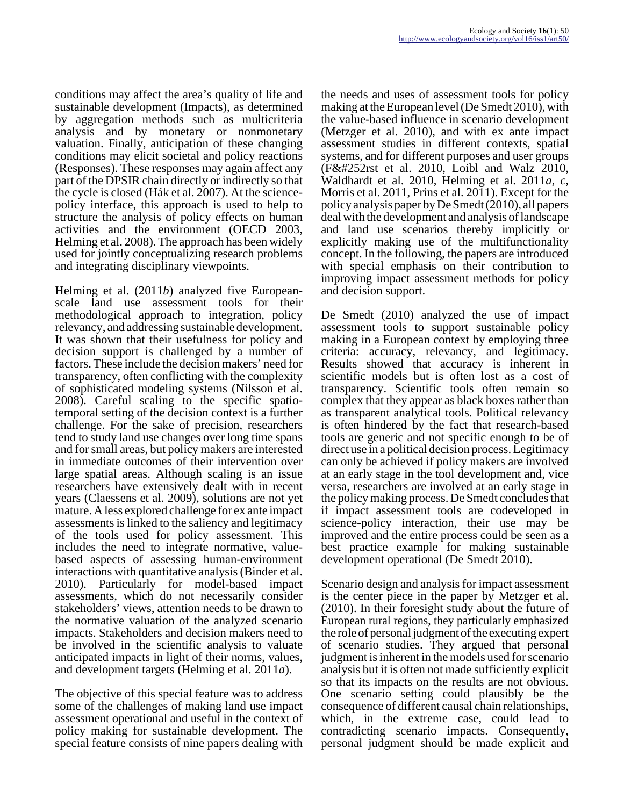conditions may affect the area's quality of life and sustainable development (Impacts), as determined by aggregation methods such as multicriteria analysis and by monetary or nonmonetary valuation. Finally, anticipation of these changing conditions may elicit societal and policy reactions (Responses). These responses may again affect any part of the DPSIR chain directly or indirectly so that the cycle is closed (Hák et al. 2007). At the sciencepolicy interface, this approach is used to help to structure the analysis of policy effects on human activities and the environment (OECD 2003, Helming et al. 2008). The approach has been widely used for jointly conceptualizing research problems and integrating disciplinary viewpoints.

Helming et al. (2011*b*) analyzed five Europeanscale land use assessment tools for their methodological approach to integration, policy relevancy, and addressing sustainable development. It was shown that their usefulness for policy and decision support is challenged by a number of factors. These include the decision makers' need for transparency, often conflicting with the complexity of sophisticated modeling systems (Nilsson et al. 2008). Careful scaling to the specific spatiotemporal setting of the decision context is a further challenge. For the sake of precision, researchers tend to study land use changes over long time spans and for small areas, but policy makers are interested in immediate outcomes of their intervention over large spatial areas. Although scaling is an issue researchers have extensively dealt with in recent years (Claessens et al. 2009), solutions are not yet mature. A less explored challenge for ex ante impact assessments is linked to the saliency and legitimacy of the tools used for policy assessment. This includes the need to integrate normative, valuebased aspects of assessing human-environment interactions with quantitative analysis (Binder et al. 2010). Particularly for model-based impact assessments, which do not necessarily consider stakeholders' views, attention needs to be drawn to the normative valuation of the analyzed scenario impacts. Stakeholders and decision makers need to be involved in the scientific analysis to valuate anticipated impacts in light of their norms, values, and development targets (Helming et al. 2011*a*).

The objective of this special feature was to address some of the challenges of making land use impact assessment operational and useful in the context of policy making for sustainable development. The special feature consists of nine papers dealing with

the needs and uses of assessment tools for policy making at the European level (De Smedt 2010), with the value-based influence in scenario development (Metzger et al. 2010), and with ex ante impact assessment studies in different contexts, spatial systems, and for different purposes and user groups  $(F&\#252$ rst et al. 2010, Loibl and Walz 2010, Waldhardt et al. 2010, Helming et al. 2011*a*, *c*, Morris et al. 2011, Prins et al. 2011). Except for the policy analysis paper by De Smedt (2010), all papers deal with the development and analysis of landscape and land use scenarios thereby implicitly or explicitly making use of the multifunctionality concept. In the following, the papers are introduced with special emphasis on their contribution to improving impact assessment methods for policy and decision support.

De Smedt (2010) analyzed the use of impact assessment tools to support sustainable policy making in a European context by employing three criteria: accuracy, relevancy, and legitimacy. Results showed that accuracy is inherent in scientific models but is often lost as a cost of transparency. Scientific tools often remain so complex that they appear as black boxes rather than as transparent analytical tools. Political relevancy is often hindered by the fact that research-based tools are generic and not specific enough to be of direct use in a political decision process. Legitimacy can only be achieved if policy makers are involved at an early stage in the tool development and, vice versa, researchers are involved at an early stage in the policy making process. De Smedt concludes that if impact assessment tools are codeveloped in science-policy interaction, their use may be improved and the entire process could be seen as a best practice example for making sustainable development operational (De Smedt 2010).

Scenario design and analysis for impact assessment is the center piece in the paper by Metzger et al. (2010). In their foresight study about the future of European rural regions, they particularly emphasized the role of personal judgment of the executing expert of scenario studies. They argued that personal judgment is inherent in the models used for scenario analysis but it is often not made sufficiently explicit so that its impacts on the results are not obvious. One scenario setting could plausibly be the consequence of different causal chain relationships, which, in the extreme case, could lead to contradicting scenario impacts. Consequently, personal judgment should be made explicit and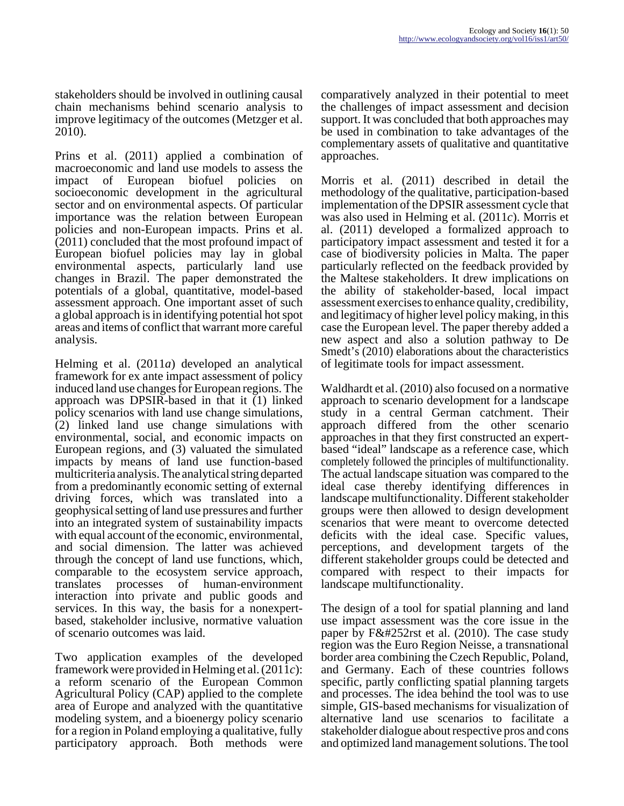stakeholders should be involved in outlining causal chain mechanisms behind scenario analysis to improve legitimacy of the outcomes (Metzger et al. 2010).

Prins et al. (2011) applied a combination of macroeconomic and land use models to assess the impact of European biofuel policies on socioeconomic development in the agricultural sector and on environmental aspects. Of particular importance was the relation between European policies and non-European impacts. Prins et al. (2011) concluded that the most profound impact of European biofuel policies may lay in global environmental aspects, particularly land use changes in Brazil. The paper demonstrated the potentials of a global, quantitative, model-based assessment approach. One important asset of such a global approach is in identifying potential hot spot areas and items of conflict that warrant more careful analysis.

Helming et al. (2011*a*) developed an analytical framework for ex ante impact assessment of policy induced land use changes for European regions. The approach was DPSIR-based in that it (1) linked policy scenarios with land use change simulations, (2) linked land use change simulations with environmental, social, and economic impacts on European regions, and (3) valuated the simulated impacts by means of land use function-based multicriteria analysis. The analytical string departed from a predominantly economic setting of external driving forces, which was translated into a geophysical setting of land use pressures and further into an integrated system of sustainability impacts with equal account of the economic, environmental, and social dimension. The latter was achieved through the concept of land use functions, which, comparable to the ecosystem service approach, translates processes of human-environment interaction into private and public goods and services. In this way, the basis for a nonexpertbased, stakeholder inclusive, normative valuation of scenario outcomes was laid.

Two application examples of the developed framework were provided in Helming et al. (2011*c*): a reform scenario of the European Common Agricultural Policy (CAP) applied to the complete area of Europe and analyzed with the quantitative modeling system, and a bioenergy policy scenario for a region in Poland employing a qualitative, fully participatory approach. Both methods were

comparatively analyzed in their potential to meet the challenges of impact assessment and decision support. It was concluded that both approaches may be used in combination to take advantages of the complementary assets of qualitative and quantitative approaches.

Morris et al. (2011) described in detail the methodology of the qualitative, participation-based implementation of the DPSIR assessment cycle that was also used in Helming et al. (2011*c*). Morris et al. (2011) developed a formalized approach to participatory impact assessment and tested it for a case of biodiversity policies in Malta. The paper particularly reflected on the feedback provided by the Maltese stakeholders. It drew implications on the ability of stakeholder-based, local impact assessment exercises to enhance quality, credibility, and legitimacy of higher level policy making, in this case the European level. The paper thereby added a new aspect and also a solution pathway to De Smedt's (2010) elaborations about the characteristics of legitimate tools for impact assessment.

Waldhardt et al. (2010) also focused on a normative approach to scenario development for a landscape study in a central German catchment. Their approach differed from the other scenario approaches in that they first constructed an expertbased "ideal" landscape as a reference case, which completely followed the principles of multifunctionality. The actual landscape situation was compared to the ideal case thereby identifying differences in landscape multifunctionality. Different stakeholder groups were then allowed to design development scenarios that were meant to overcome detected deficits with the ideal case. Specific values, perceptions, and development targets of the different stakeholder groups could be detected and compared with respect to their impacts for landscape multifunctionality.

The design of a tool for spatial planning and land use impact assessment was the core issue in the paper by  $F\&\#252$ rst et al. (2010). The case study region was the Euro Region Neisse, a transnational border area combining the Czech Republic, Poland, and Germany. Each of these countries follows specific, partly conflicting spatial planning targets and processes. The idea behind the tool was to use simple, GIS-based mechanisms for visualization of alternative land use scenarios to facilitate a stakeholder dialogue about respective pros and cons and optimized land management solutions. The tool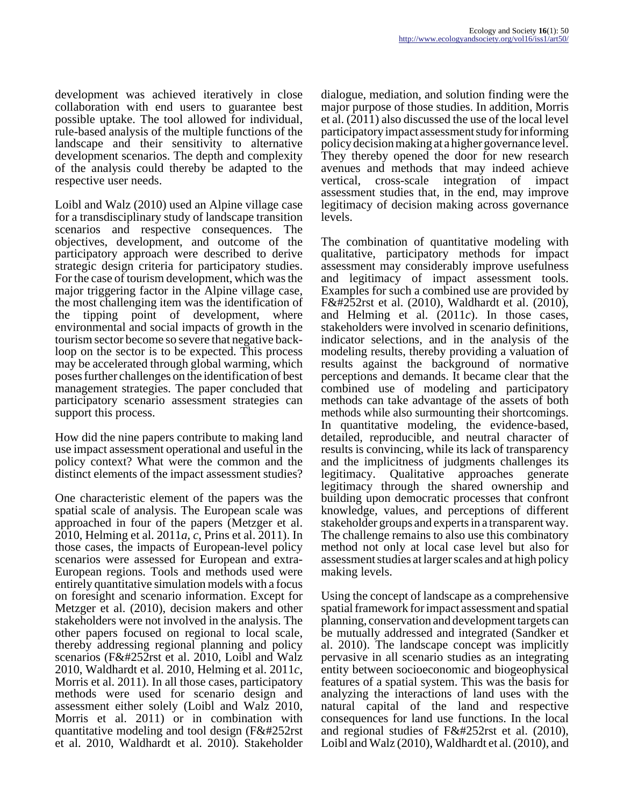development was achieved iteratively in close collaboration with end users to guarantee best possible uptake. The tool allowed for individual, rule-based analysis of the multiple functions of the landscape and their sensitivity to alternative development scenarios. The depth and complexity of the analysis could thereby be adapted to the respective user needs.

Loibl and Walz (2010) used an Alpine village case for a transdisciplinary study of landscape transition scenarios and respective consequences. The objectives, development, and outcome of the participatory approach were described to derive strategic design criteria for participatory studies. For the case of tourism development, which was the major triggering factor in the Alpine village case, the most challenging item was the identification of the tipping point of development, where environmental and social impacts of growth in the tourism sector become so severe that negative backloop on the sector is to be expected. This process may be accelerated through global warming, which poses further challenges on the identification of best management strategies. The paper concluded that participatory scenario assessment strategies can support this process.

How did the nine papers contribute to making land use impact assessment operational and useful in the policy context? What were the common and the distinct elements of the impact assessment studies?

One characteristic element of the papers was the spatial scale of analysis. The European scale was approached in four of the papers (Metzger et al. 2010, Helming et al. 2011*a*, *c*, Prins et al. 2011). In those cases, the impacts of European-level policy scenarios were assessed for European and extra-European regions. Tools and methods used were entirely quantitative simulation models with a focus on foresight and scenario information. Except for Metzger et al. (2010), decision makers and other stakeholders were not involved in the analysis. The other papers focused on regional to local scale, thereby addressing regional planning and policy scenarios ( $F&\&\#252$ rst et al. 2010, Loibl and Walz 2010, Waldhardt et al. 2010, Helming et al. 2011*c*, Morris et al. 2011). In all those cases, participatory methods were used for scenario design and assessment either solely (Loibl and Walz 2010, Morris et al. 2011) or in combination with quantitative modeling and tool design  $(F&\#252rst$ et al. 2010, Waldhardt et al. 2010). Stakeholder

dialogue, mediation, and solution finding were the major purpose of those studies. In addition, Morris et al. (2011) also discussed the use of the local level participatory impact assessment study for informing policy decision making at a higher governance level. They thereby opened the door for new research avenues and methods that may indeed achieve vertical, cross-scale integration of impact assessment studies that, in the end, may improve legitimacy of decision making across governance levels.

The combination of quantitative modeling with qualitative, participatory methods for impact assessment may considerably improve usefulness and legitimacy of impact assessment tools. Examples for such a combined use are provided by  $Fü$ rst et al. (2010), Waldhardt et al. (2010), and Helming et al. (2011*c*). In those cases, stakeholders were involved in scenario definitions, indicator selections, and in the analysis of the modeling results, thereby providing a valuation of results against the background of normative perceptions and demands. It became clear that the combined use of modeling and participatory methods can take advantage of the assets of both methods while also surmounting their shortcomings. In quantitative modeling, the evidence-based, detailed, reproducible, and neutral character of results is convincing, while its lack of transparency and the implicitness of judgments challenges its legitimacy. Qualitative approaches generate legitimacy through the shared ownership and building upon democratic processes that confront knowledge, values, and perceptions of different stakeholder groups and experts in a transparent way. The challenge remains to also use this combinatory method not only at local case level but also for assessment studies at larger scales and at high policy making levels.

Using the concept of landscape as a comprehensive spatial framework for impact assessment and spatial planning, conservation and development targets can be mutually addressed and integrated (Sandker et al. 2010). The landscape concept was implicitly pervasive in all scenario studies as an integrating entity between socioeconomic and biogeophysical features of a spatial system. This was the basis for analyzing the interactions of land uses with the natural capital of the land and respective consequences for land use functions. In the local and regional studies of  $Fürst$  et al. (2010), Loibl and Walz (2010), Waldhardt et al. (2010), and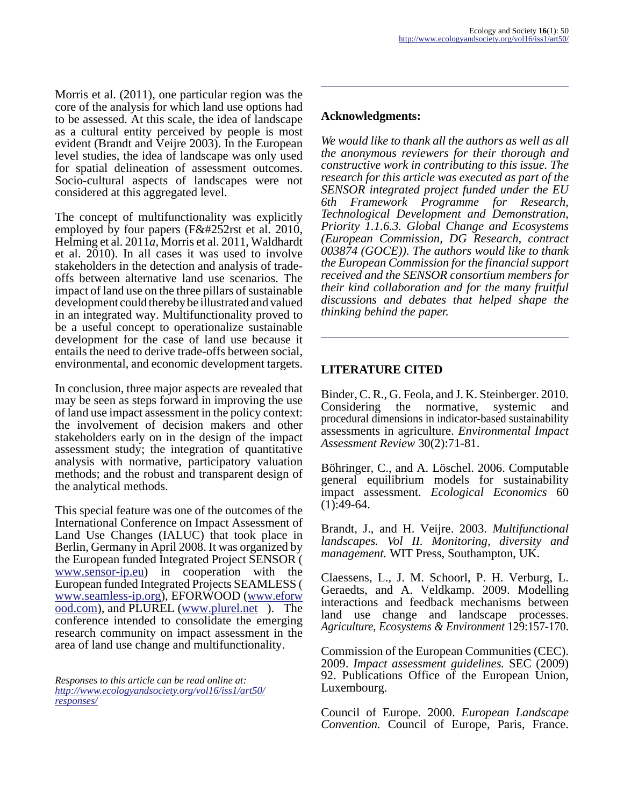Morris et al. (2011), one particular region was the core of the analysis for which land use options had to be assessed. At this scale, the idea of landscape as a cultural entity perceived by people is most evident (Brandt and Veijre 2003). In the European level studies, the idea of landscape was only used for spatial delineation of assessment outcomes. Socio-cultural aspects of landscapes were not considered at this aggregated level.

The concept of multifunctionality was explicitly employed by four papers ( $Fürst$  et al. 2010, Helming et al. 2011*a*, Morris et al. 2011, Waldhardt et al. 2010). In all cases it was used to involve stakeholders in the detection and analysis of tradeoffs between alternative land use scenarios. The impact of land use on the three pillars of sustainable development could thereby be illustrated and valued in an integrated way. Multifunctionality proved to be a useful concept to operationalize sustainable development for the case of land use because it entails the need to derive trade-offs between social, environmental, and economic development targets.

In conclusion, three major aspects are revealed that may be seen as steps forward in improving the use of land use impact assessment in the policy context: the involvement of decision makers and other stakeholders early on in the design of the impact assessment study; the integration of quantitative analysis with normative, participatory valuation methods; and the robust and transparent design of the analytical methods.

This special feature was one of the outcomes of the International Conference on Impact Assessment of Land Use Changes (IALUC) that took place in Berlin, Germany in April 2008. It was organized by the European funded Integrated Project SENSOR ( [www.sensor-ip.eu](http://www.sensor-ip.eu/)) in cooperation with the European funded Integrated Projects SEAMLESS ( [www.seamless-ip.org\)](http://www.seamless-ip.org), EFORWOOD ([www.eforw](http://www.eforwood.com) [ood.com\)](http://www.eforwood.com), and PLUREL [\(www.plurel.net](http://www.plurel.net/) ). The conference intended to consolidate the emerging research community on impact assessment in the area of land use change and multifunctionality.

*Responses to this article can be read online at: [http://www](http://www.ecologyandsociety.org/vol16/iss1/art50/responses/).ecologyandsociety.org/vol16/iss1/art50/ responses/*

## **Acknowledgments:**

*We would like to thank all the authors as well as all the anonymous reviewers for their thorough and constructive work in contributing to this issue. The research for this article was executed as part of the SENSOR integrated project funded under the EU 6th Framework Programme for Research, Technological Development and Demonstration, Priority 1.1.6.3. Global Change and Ecosystems (European Commission, DG Research, contract 003874 (GOCE)). The authors would like to thank the European Commission for the financial support received and the SENSOR consortium members for their kind collaboration and for the many fruitful discussions and debates that helped shape the thinking behind the paper.* 

## **LITERATURE CITED**

Binder, C. R., G. Feola, and J. K. Steinberger. 2010. Considering the normative, systemic and procedural dimensions in indicator-based sustainability assessments in agriculture. *Environmental Impact Assessment Review* 30(2):71-81.

Böhringer, C., and A. Löschel. 2006. Computable general equilibrium models for sustainability impact assessment. *Ecological Economics* 60  $(1):49-64.$ 

Brandt, J., and H. Veijre. 2003. *Multifunctional landscapes. Vol II. Monitoring, diversity and management.* WIT Press, Southampton, UK.

Claessens, L., J. M. Schoorl, P. H. Verburg, L. Geraedts, and A. Veldkamp. 2009. Modelling interactions and feedback mechanisms between land use change and landscape processes. *Agriculture, Ecosystems & Environment* 129:157-170.

Commission of the European Communities (CEC). 2009. *Impact assessment guidelines.* SEC (2009) 92. Publications Office of the European Union, Luxembourg.

Council of Europe. 2000. *European Landscape Convention.* Council of Europe, Paris, France.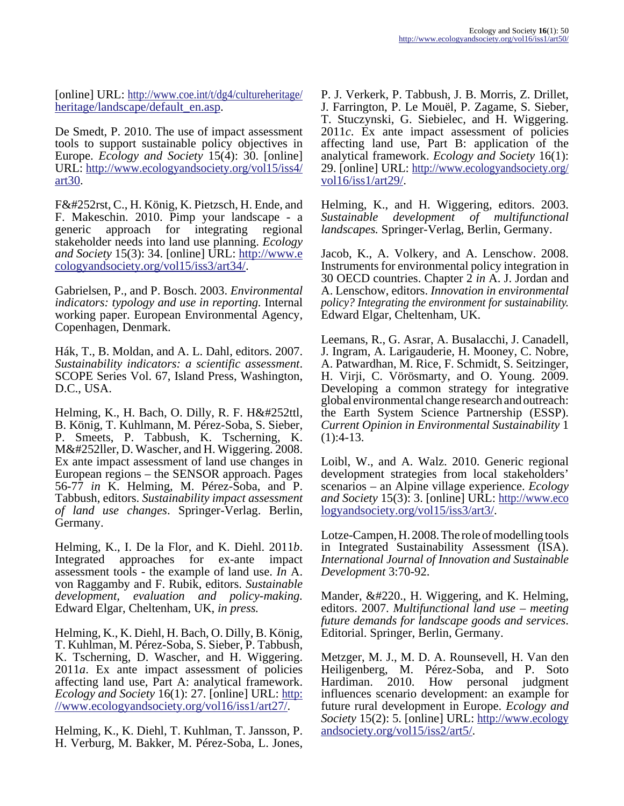[online] URL: [http://www.coe.int/t/dg4/cultureheritage/](http://www.coe.int/t/dg4/cultureheritage/heritage/landscape/default_en.asp) [heritage/landscape/default\\_en.asp](http://www.coe.int/t/dg4/cultureheritage/heritage/landscape/default_en.asp).

De Smedt, P. 2010. The use of impact assessment tools to support sustainable policy objectives in Europe. *Ecology and Society* 15(4): 30. [online] URL: [http://www.ecologyandsociety.org/vol15/iss4/](http://www.ecologyandsociety.org/vol15/iss4/art30) [art30.](http://www.ecologyandsociety.org/vol15/iss4/art30)

F&#252rst, C., H. König, K. Pietzsch, H. Ende, and F. Makeschin. 2010. Pimp your landscape - a generic approach for integrating regional stakeholder needs into land use planning. *Ecology and Society* 15(3): 34. [online] URL: [http://www.e](http://www.ecologyandsociety.org/vol15/iss3/art34/) [cologyandsociety.org/vol15/iss3/art34/.](http://www.ecologyandsociety.org/vol15/iss3/art34/)

Gabrielsen, P., and P. Bosch. 2003. *Environmental indicators: typology and use in reporting.* Internal working paper. European Environmental Agency, Copenhagen, Denmark.

Hák, T., B. Moldan, and A. L. Dahl, editors. 2007. *Sustainability indicators: a scientific assessment*. SCOPE Series Vol. 67, Island Press, Washington, D.C., USA.

Helming, K., H. Bach, O. Dilly, R. F.  $Hü$ ttl, B. König, T. Kuhlmann, M. Pérez-Soba, S. Sieber, P. Smeets, P. Tabbush, K. Tscherning, K. M&#252ller, D. Wascher, and H. Wiggering. 2008. Ex ante impact assessment of land use changes in European regions – the SENSOR approach. Pages 56-77 *in* K. Helming, M. Pérez-Soba, and P. Tabbush, editors. *Sustainability impact assessment of land use changes*. Springer-Verlag. Berlin, Germany.

Helming, K., I. De la Flor, and K. Diehl. 2011*b*. Integrated approaches for ex-ante impact assessment tools - the example of land use. *In* A. von Raggamby and F. Rubik, editors. *Sustainable development, evaluation and policy-making.* Edward Elgar, Cheltenham, UK, *in press.*

Helming, K., K. Diehl, H. Bach, O. Dilly, B. König, T. Kuhlman, M. Pérez-Soba, S. Sieber, P. Tabbush, K. Tscherning, D. Wascher, and H. Wiggering. 2011*a*. Ex ante impact assessment of policies affecting land use, Part A: analytical framework. *Ecology and Society* 16(1): 27. [online] URL: [http:](http://www.ecologyandsociety.org/vol16/iss1/art27/) [//www.ecologyandsociety.org/vol16/iss1/art27/.](http://www.ecologyandsociety.org/vol16/iss1/art27/)

Helming, K., K. Diehl, T. Kuhlman, T. Jansson, P. H. Verburg, M. Bakker, M. Pérez-Soba, L. Jones, P. J. Verkerk, P. Tabbush, J. B. Morris, Z. Drillet, J. Farrington, P. Le Mouël, P. Zagame, S. Sieber, T. Stuczynski, G. Siebielec, and H. Wiggering. 2011*c*. Ex ante impact assessment of policies affecting land use, Part B: application of the analytical framework. *Ecology and Society* 16(1): 29. [online] URL: [http://www.ecologyandsociety.org/](http://www.ecologyandsociety.org/vol16/iss1/art29/) [vol16/iss1/art29/.](http://www.ecologyandsociety.org/vol16/iss1/art29/)

Helming, K., and H. Wiggering, editors. 2003. *Sustainable development of multifunctional landscapes.* Springer-Verlag, Berlin, Germany.

Jacob, K., A. Volkery, and A. Lenschow. 2008. Instruments for environmental policy integration in 30 OECD countries. Chapter 2 *in* A. J. Jordan and A. Lenschow, editors. *Innovation in environmental policy? Integrating the environment for sustainability.* Edward Elgar, Cheltenham, UK.

Leemans, R., G. Asrar, A. Busalacchi, J. Canadell, J. Ingram, A. Larigauderie, H. Mooney, C. Nobre, A. Patwardhan, M. Rice, F. Schmidt, S. Seitzinger, H. Virji, C. Vörösmarty, and O. Young. 2009. Developing a common strategy for integrative global environmental change research and outreach: the Earth System Science Partnership (ESSP). *Current Opinion in Environmental Sustainability* 1  $(1):4-13.$ 

Loibl, W., and A. Walz. 2010. Generic regional development strategies from local stakeholders' scenarios – an Alpine village experience. *Ecology and Society* 15(3): 3. [online] URL: [http://www.eco](http://www.ecologyandsociety.org/vol15/iss3/art3/) [logyandsociety.org/vol15/iss3/art3/.](http://www.ecologyandsociety.org/vol15/iss3/art3/)

Lotze-Campen, H. 2008. The role of modelling tools in Integrated Sustainability Assessment (ISA). *International Journal of Innovation and Sustainable Development* 3:70-92.

Mander, &#220., H. Wiggering, and K. Helming, editors. 2007. *Multifunctional land use – meeting future demands for landscape goods and services*. Editorial. Springer, Berlin, Germany.

Metzger, M. J., M. D. A. Rounsevell, H. Van den Heiligenberg, M. Pérez-Soba, and P. Soto Hardiman. 2010. How personal judgment influences scenario development: an example for future rural development in Europe. *Ecology and Society* 15(2): 5. [online] URL: [http://www.ecology](http://www.ecologyandsociety.org/vol15/iss2/art5/) [andsociety.org/vol15/iss2/art5/](http://www.ecologyandsociety.org/vol15/iss2/art5/).